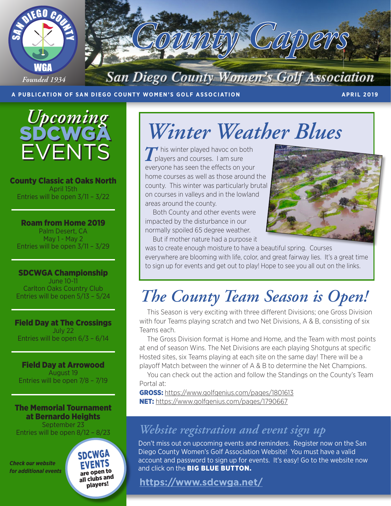

#### **A PUBLICATION OF SAN DIEGO COUNTY WOMEN'S GOLF ASSOCIATION APRIL 2019**



County Classic at Oaks North April 15th Entries will be open 3/11 – 3/22

Roam from Home 2019 Palm Desert, CA May 1 - May 2 Entries will be open 3/11 – 3/29

SDCWGA Championship June 10-11 Carlton Oaks Country Club Entries will be open 5/13 – 5/24

Field Day at The Crossings July 22 Entries will be open 6/3 – 6/14

Field Day at Arrowood August 19 Entries will be open 7/8 – 7/19

The Memorial Tournament at Bernardo Heights September 23 Entries will be open 8/12 – 8/23

*Check our website for additional events* SDCWGA **EVENTS** are open to all clubs and players!

# *Winter Weather Blues*

**T** his winter played havoc on both players and courses. I am sure everyone has seen the effects on your home courses as well as those around the county. This winter was particularly brutal on courses in valleys and in the lowland areas around the county.

Both County and other events were impacted by the disturbance in our normally spoiled 65 degree weather.

But if mother nature had a purpose it



was to create enough moisture to have a beautiful spring. Courses everywhere are blooming with life, color, and great fairway lies. It's a great time to sign up for events and get out to play! Hope to see you all out on the links.

# *The County Team Season is Open!*

This Season is very exciting with three different Divisions; one Gross Division with four Teams playing scratch and two Net Divisions, A & B, consisting of six Teams each.

The Gross Division format is Home and Home, and the Team with most points at end of season Wins. The Net Divisions are each playing Shotguns at specific Hosted sites, six Teams playing at each site on the same day! There will be a playoff Match between the winner of A & B to determine the Net Champions.

You can check out the action and follow the Standings on the County's Team Portal at:

GROSS: https://www.golfgenius.com/pages/1801613 NET: https://www.golfgenius.com/pages/1790667

### *Website registration and event sign up*

Don't miss out on upcoming events and reminders. Register now on the San Diego County Women's Golf Association Website! You must have a valid account and password to sign up for events. It's easy! Go to the website now and click on the **BIG BLUE BUTTON.** 

### **https://www.sdcwga.net/**